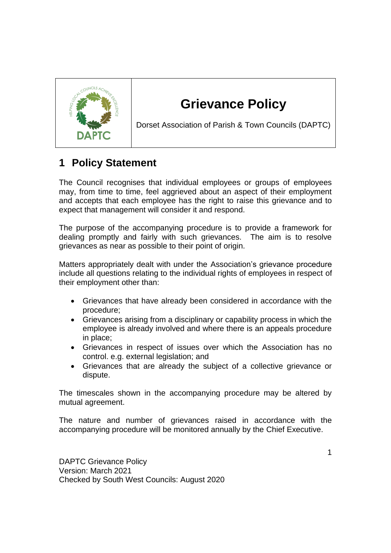

# **Grievance Policy**

Dorset Association of Parish & Town Councils (DAPTC)

## **1 Policy Statement**

The Council recognises that individual employees or groups of employees may, from time to time, feel aggrieved about an aspect of their employment and accepts that each employee has the right to raise this grievance and to expect that management will consider it and respond.

The purpose of the accompanying procedure is to provide a framework for dealing promptly and fairly with such grievances. The aim is to resolve grievances as near as possible to their point of origin.

Matters appropriately dealt with under the Association's grievance procedure include all questions relating to the individual rights of employees in respect of their employment other than:

- Grievances that have already been considered in accordance with the procedure;
- Grievances arising from a disciplinary or capability process in which the employee is already involved and where there is an appeals procedure in place;
- Grievances in respect of issues over which the Association has no control. e.g. external legislation; and
- Grievances that are already the subject of a collective grievance or dispute.

The timescales shown in the accompanying procedure may be altered by mutual agreement.

The nature and number of grievances raised in accordance with the accompanying procedure will be monitored annually by the Chief Executive.

DAPTC Grievance Policy Version: March 2021 Checked by South West Councils: August 2020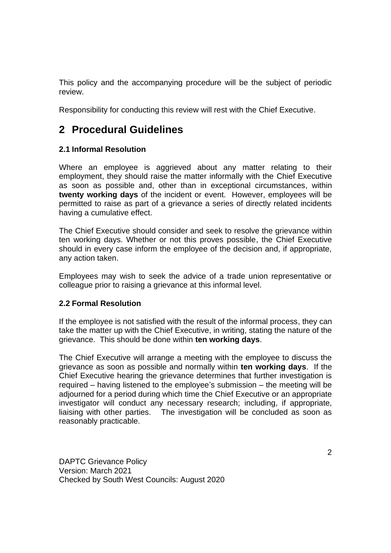This policy and the accompanying procedure will be the subject of periodic review.

Responsibility for conducting this review will rest with the Chief Executive.

### **2 Procedural Guidelines**

### **2.1 Informal Resolution**

Where an employee is aggrieved about any matter relating to their employment, they should raise the matter informally with the Chief Executive as soon as possible and, other than in exceptional circumstances, within **twenty working days** of the incident or event. However, employees will be permitted to raise as part of a grievance a series of directly related incidents having a cumulative effect.

The Chief Executive should consider and seek to resolve the grievance within ten working days. Whether or not this proves possible, the Chief Executive should in every case inform the employee of the decision and, if appropriate, any action taken.

Employees may wish to seek the advice of a trade union representative or colleague prior to raising a grievance at this informal level.

#### **2.2 Formal Resolution**

If the employee is not satisfied with the result of the informal process, they can take the matter up with the Chief Executive, in writing, stating the nature of the grievance. This should be done within **ten working days**.

The Chief Executive will arrange a meeting with the employee to discuss the grievance as soon as possible and normally within **ten working days**. If the Chief Executive hearing the grievance determines that further investigation is required – having listened to the employee's submission – the meeting will be adjourned for a period during which time the Chief Executive or an appropriate investigator will conduct any necessary research; including, if appropriate, liaising with other parties. The investigation will be concluded as soon as reasonably practicable.

DAPTC Grievance Policy Version: March 2021 Checked by South West Councils: August 2020